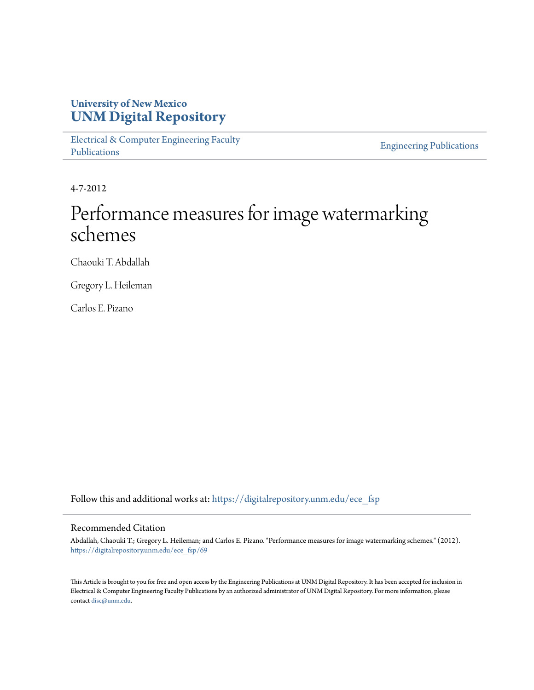## **University of New Mexico [UNM Digital Repository](https://digitalrepository.unm.edu?utm_source=digitalrepository.unm.edu%2Fece_fsp%2F69&utm_medium=PDF&utm_campaign=PDFCoverPages)**

[Electrical & Computer Engineering Faculty](https://digitalrepository.unm.edu/ece_fsp?utm_source=digitalrepository.unm.edu%2Fece_fsp%2F69&utm_medium=PDF&utm_campaign=PDFCoverPages) [Publications](https://digitalrepository.unm.edu/ece_fsp?utm_source=digitalrepository.unm.edu%2Fece_fsp%2F69&utm_medium=PDF&utm_campaign=PDFCoverPages)

[Engineering Publications](https://digitalrepository.unm.edu/eng_fsp?utm_source=digitalrepository.unm.edu%2Fece_fsp%2F69&utm_medium=PDF&utm_campaign=PDFCoverPages)

4-7-2012

# Performance measures for image watermarking schemes

Chaouki T. Abdallah

Gregory L. Heileman

Carlos E. Pizano

Follow this and additional works at: [https://digitalrepository.unm.edu/ece\\_fsp](https://digitalrepository.unm.edu/ece_fsp?utm_source=digitalrepository.unm.edu%2Fece_fsp%2F69&utm_medium=PDF&utm_campaign=PDFCoverPages)

### Recommended Citation

Abdallah, Chaouki T.; Gregory L. Heileman; and Carlos E. Pizano. "Performance measures for image watermarking schemes." (2012). [https://digitalrepository.unm.edu/ece\\_fsp/69](https://digitalrepository.unm.edu/ece_fsp/69?utm_source=digitalrepository.unm.edu%2Fece_fsp%2F69&utm_medium=PDF&utm_campaign=PDFCoverPages)

This Article is brought to you for free and open access by the Engineering Publications at UNM Digital Repository. It has been accepted for inclusion in Electrical & Computer Engineering Faculty Publications by an authorized administrator of UNM Digital Repository. For more information, please contact [disc@unm.edu.](mailto:disc@unm.edu)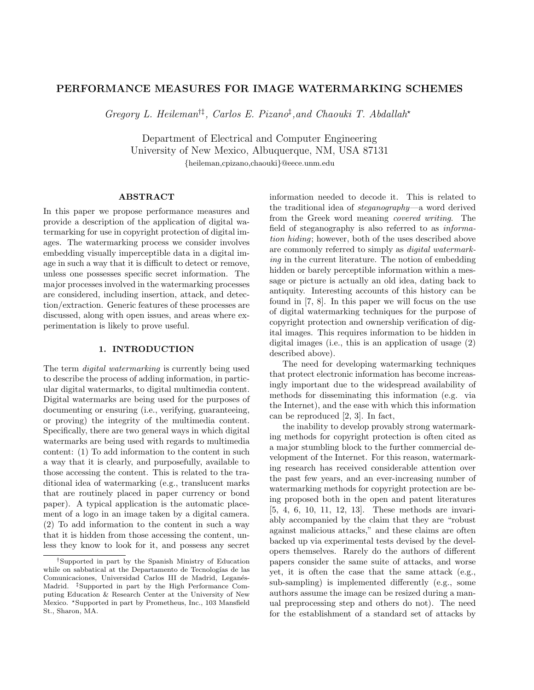#### PERFORMANCE MEASURES FOR IMAGE WATERMARKING SCHEMES

Gregory L. Heileman<sup>††</sup>, Carlos E. Pizano<sup>‡</sup>, and Chaouki T. Abdallah<sup>\*</sup>

Department of Electrical and Computer Engineering University of New Mexico, Albuquerque, NM, USA 87131 {heileman,cpizano,chaouki}@eece.unm.edu

#### ABSTRACT

In this paper we propose performance measures and provide a description of the application of digital watermarking for use in copyright protection of digital images. The watermarking process we consider involves embedding visually imperceptible data in a digital image in such a way that it is difficult to detect or remove, unless one possesses specific secret information. The major processes involved in the watermarking processes are considered, including insertion, attack, and detection/extraction. Generic features of these processes are discussed, along with open issues, and areas where experimentation is likely to prove useful.

#### 1. INTRODUCTION

The term digital watermarking is currently being used to describe the process of adding information, in particular digital watermarks, to digital multimedia content. Digital watermarks are being used for the purposes of documenting or ensuring (i.e., verifying, guaranteeing, or proving) the integrity of the multimedia content. Specifically, there are two general ways in which digital watermarks are being used with regards to multimedia content: (1) To add information to the content in such a way that it is clearly, and purposefully, available to those accessing the content. This is related to the traditional idea of watermarking (e.g., translucent marks that are routinely placed in paper currency or bond paper). A typical application is the automatic placement of a logo in an image taken by a digital camera. (2) To add information to the content in such a way that it is hidden from those accessing the content, unless they know to look for it, and possess any secret

information needed to decode it. This is related to the traditional idea of steganography—a word derived from the Greek word meaning covered writing. The field of steganography is also referred to as information hiding; however, both of the uses described above are commonly referred to simply as digital watermarking in the current literature. The notion of embedding hidden or barely perceptible information within a message or picture is actually an old idea, dating back to antiquity. Interesting accounts of this history can be found in [7, 8]. In this paper we will focus on the use of digital watermarking techniques for the purpose of copyright protection and ownership verification of digital images. This requires information to be hidden in digital images (i.e., this is an application of usage (2) described above).

The need for developing watermarking techniques that protect electronic information has become increasingly important due to the widespread availability of methods for disseminating this information (e.g. via the Internet), and the ease with which this information can be reproduced [2, 3]. In fact,

the inability to develop provably strong watermarking methods for copyright protection is often cited as a major stumbling block to the further commercial development of the Internet. For this reason, watermarking research has received considerable attention over the past few years, and an ever-increasing number of watermarking methods for copyright protection are being proposed both in the open and patent literatures [5, 4, 6, 10, 11, 12, 13]. These methods are invariably accompanied by the claim that they are "robust against malicious attacks," and these claims are often backed up via experimental tests devised by the developers themselves. Rarely do the authors of different papers consider the same suite of attacks, and worse yet, it is often the case that the same attack (e.g., sub-sampling) is implemented differently (e.g., some authors assume the image can be resized during a manual preprocessing step and others do not). The need for the establishment of a standard set of attacks by

<sup>†</sup>Supported in part by the Spanish Ministry of Education while on sabbatical at the Departamento de Tecnologías de las Comunicaciones, Universidad Carlos III de Madrid, Leganés-Madrid. ‡Supported in part by the High Performance Computing Education & Research Center at the University of New Mexico. \*Supported in part by Prometheus, Inc., 103 Mansfield St., Sharon, MA.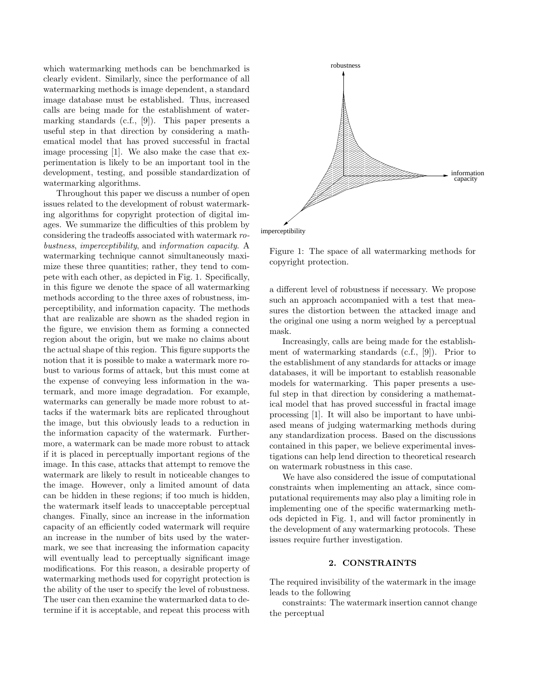which watermarking methods can be benchmarked is clearly evident. Similarly, since the performance of all watermarking methods is image dependent, a standard image database must be established. Thus, increased calls are being made for the establishment of watermarking standards (c.f., [9]). This paper presents a useful step in that direction by considering a mathematical model that has proved successful in fractal image processing [1]. We also make the case that experimentation is likely to be an important tool in the development, testing, and possible standardization of watermarking algorithms.

Throughout this paper we discuss a number of open issues related to the development of robust watermarking algorithms for copyright protection of digital images. We summarize the difficulties of this problem by considering the tradeoffs associated with watermark robustness, imperceptibility, and information capacity. A watermarking technique cannot simultaneously maximize these three quantities; rather, they tend to compete with each other, as depicted in Fig. 1. Specifically, in this figure we denote the space of all watermarking methods according to the three axes of robustness, imperceptibility, and information capacity. The methods that are realizable are shown as the shaded region in the figure, we envision them as forming a connected region about the origin, but we make no claims about the actual shape of this region. This figure supports the notion that it is possible to make a watermark more robust to various forms of attack, but this must come at the expense of conveying less information in the watermark, and more image degradation. For example, watermarks can generally be made more robust to attacks if the watermark bits are replicated throughout the image, but this obviously leads to a reduction in the information capacity of the watermark. Furthermore, a watermark can be made more robust to attack if it is placed in perceptually important regions of the image. In this case, attacks that attempt to remove the watermark are likely to result in noticeable changes to the image. However, only a limited amount of data can be hidden in these regions; if too much is hidden, the watermark itself leads to unacceptable perceptual changes. Finally, since an increase in the information capacity of an efficiently coded watermark will require an increase in the number of bits used by the watermark, we see that increasing the information capacity will eventually lead to perceptually significant image modifications. For this reason, a desirable property of watermarking methods used for copyright protection is the ability of the user to specify the level of robustness. The user can then examine the watermarked data to determine if it is acceptable, and repeat this process with



imperceptibility

Figure 1: The space of all watermarking methods for copyright protection.

a different level of robustness if necessary. We propose such an approach accompanied with a test that measures the distortion between the attacked image and the original one using a norm weighed by a perceptual mask.

Increasingly, calls are being made for the establishment of watermarking standards (c.f., [9]). Prior to the establishment of any standards for attacks or image databases, it will be important to establish reasonable models for watermarking. This paper presents a useful step in that direction by considering a mathematical model that has proved successful in fractal image processing [1]. It will also be important to have unbiased means of judging watermarking methods during any standardization process. Based on the discussions contained in this paper, we believe experimental investigations can help lend direction to theoretical research on watermark robustness in this case.

We have also considered the issue of computational constraints when implementing an attack, since computational requirements may also play a limiting role in implementing one of the specific watermarking methods depicted in Fig. 1, and will factor prominently in the development of any watermarking protocols. These issues require further investigation.

#### 2. CONSTRAINTS

The required invisibility of the watermark in the image leads to the following

constraints: The watermark insertion cannot change the perceptual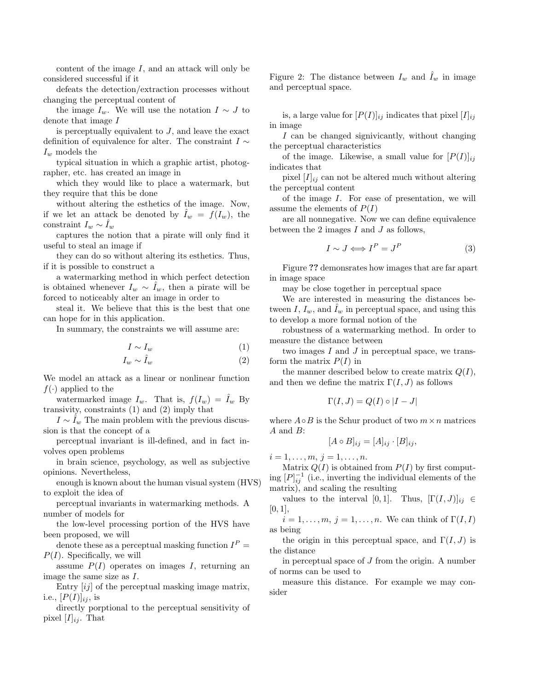content of the image  $I$ , and an attack will only be considered successful if it

defeats the detection/extraction processes without changing the perceptual content of

the image  $I_w$ . We will use the notation  $I \sim J$  to denote that image I

is perceptually equivalent to  $J$ , and leave the exact definition of equivalence for alter. The constraint  $I \sim$  $I_w$  models the

typical situation in which a graphic artist, photographer, etc. has created an image in

which they would like to place a watermark, but they require that this be done

without altering the esthetics of the image. Now, if we let an attack be denoted by  $\tilde{I}_w = f(I_w)$ , the constraint  $I_w \sim I_w$ 

captures the notion that a pirate will only find it useful to steal an image if

they can do so without altering its esthetics. Thus, if it is possible to construct a

a watermarking method in which perfect detection is obtained whenever  $I_w \sim I_w$ , then a pirate will be forced to noticeably alter an image in order to

steal it. We believe that this is the best that one can hope for in this application.

In summary, the constraints we will assume are:

$$
I \sim I_w \tag{1}
$$

$$
I_w \sim \hat{I}_w \tag{2}
$$

We model an attack as a linear or nonlinear function  $f(\cdot)$  applied to the

watermarked image  $I_w$ . That is,  $f(I_w) = I_w$  By transivity, constraints (1) and (2) imply that

 $I \sim I_w$  The main problem with the previous discussion is that the concept of a

perceptual invariant is ill-defined, and in fact involves open problems

in brain science, psychology, as well as subjective opinions. Nevertheless,

enough is known about the human visual system (HVS) to exploit the idea of

perceptual invariants in watermarking methods. A number of models for

the low-level processing portion of the HVS have been proposed, we will

denote these as a perceptual masking function  $I^P =$  $P(I)$ . Specifically, we will

assume  $P(I)$  operates on images I, returning an image the same size as I.

Entry  $[ij]$  of the perceptual masking image matrix, i.e.,  $[P(I)]_{ii}$ , is

directly porptional to the perceptual sensitivity of pixel  $[I]_{ij}$ . That

Figure 2: The distance between  $I_w$  and  $\overline{I}_w$  in image and perceptual space.

is, a large value for  $[P(I)]_{ij}$  indicates that pixel  $[I]_{ij}$ in image

I can be changed signivicantly, without changing the perceptual characteristics

of the image. Likewise, a small value for  $[P(I)]_{ii}$ indicates that

pixel  $[I]_{ij}$  can not be altered much without altering the perceptual content

of the image I. For ease of presentation, we will assume the elements of  $P(I)$ 

are all nonnegative. Now we can define equivalence between the 2 images  $I$  and  $J$  as follows,

$$
I \sim J \Longleftrightarrow I^P = J^P \tag{3}
$$

Figure ?? demonsrates how images that are far apart in image space

may be close together in perceptual space

We are interested in measuring the distances between I,  $I_w$ , and  $\tilde{I}_w$  in perceptual space, and using this to develop a more formal notion of the

robustness of a watermarking method. In order to measure the distance between

two images  $I$  and  $J$  in perceptual space, we transform the matrix  $P(I)$  in

the manner described below to create matrix  $Q(I)$ , and then we define the matrix  $\Gamma(I, J)$  as follows

$$
\Gamma(I,J)=Q(I)\circ|I-J|
$$

where  $A \circ B$  is the Schur product of two  $m \times n$  matrices A and B:

$$
[A \circ B]_{ij} = [A]_{ij} \cdot [B]_{ij},
$$

 $i = 1, \ldots, m, j = 1, \ldots, n$ .

Matrix  $Q(I)$  is obtained from  $P(I)$  by first computing  $[P]_{ij}^{-1}$  (i.e., inverting the individual elements of the matrix), and scaling the resulting

values to the interval [0, 1]. Thus,  $[\Gamma(I, J)]_{ij} \in$  $[0, 1]$ ,

 $i = 1, \ldots, m, j = 1, \ldots, n$ . We can think of  $\Gamma(I, I)$ as being

the origin in this perceptual space, and  $\Gamma(I, J)$  is the distance

in perceptual space of  $J$  from the origin. A number of norms can be used to

measure this distance. For example we may consider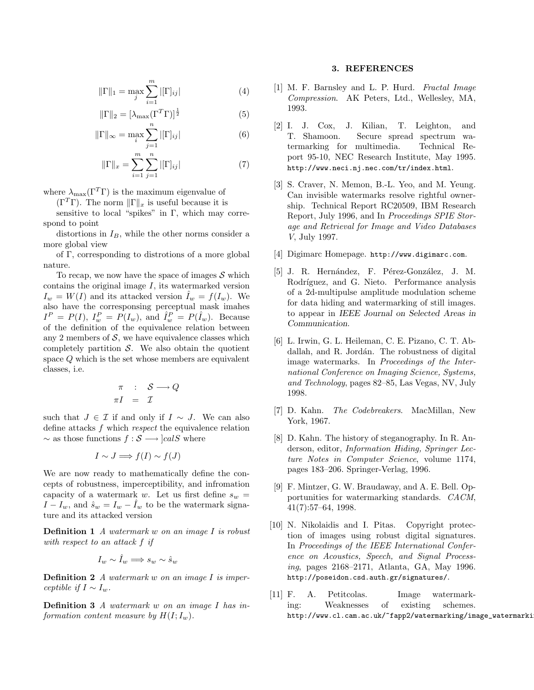$$
\|\Gamma\|_{1} = \max_{j} \sum_{i=1}^{m} |[\Gamma]_{ij}| \tag{4}
$$

$$
\|\Gamma\|_2 = \left[\lambda_{\max}(\Gamma^T \Gamma)\right]^{\frac{1}{2}}\tag{5}
$$

$$
\|\Gamma\|_{\infty} = \max_{i} \sum_{j=1} |\Gamma|_{ij}| \tag{6}
$$

$$
\|\Gamma\|_{x} = \sum_{i=1}^{m} \sum_{j=1}^{n} |[\Gamma]_{ij}| \tag{7}
$$

where  $\lambda_{\text{max}}(\Gamma^T \Gamma)$  is the maximum eigenvalue of

 $(\Gamma^T \Gamma)$ . The norm  $\|\Gamma\|_x$  is useful because it is

sensitive to local "spikes" in  $\Gamma$ , which may correspond to point

distortions in  $I_B$ , while the other norms consider a more global view

of Γ, corresponding to distrotions of a more global nature.

To recap, we now have the space of images  $\mathcal S$  which contains the original image  $I$ , its watermarked version  $I_w = W(I)$  and its attacked version  $I_w = f(I_w)$ . We also have the corresponsing perceptual mask imahes  $I^P = P(I), I_w^P = P(I_w),$  and  $\hat{I}_w^P = P(\hat{I}_w)$ . Because of the definition of the equivalence relation between any 2 members of  $S$ , we have equivalence classes which completely partition  $S$ . We also obtain the quotient space Q which is the set whose members are equivalent classes, i.e.

$$
\begin{array}{rcl}\n\pi & : & \mathcal{S} \longrightarrow Q \\
\pi I & = & \mathcal{I}\n\end{array}
$$

such that  $J \in \mathcal{I}$  if and only if  $I \sim J$ . We can also define attacks f which respect the equivalence relation  $\sim$  as those functions  $f : \mathcal{S} \longrightarrow |calS}$  where

$$
I \sim J \Longrightarrow f(I) \sim f(J)
$$

We are now ready to mathematically define the concepts of robustness, imperceptibility, and infromation capacity of a watermark w. Let us first define  $s_w$  =  $I - I_w$ , and  $\hat{s}_w = I_w - \hat{I}_w$  to be the watermark signature and its attacked version

**Definition 1** A watermark w on an image  $I$  is robust with respect to an attack f if

$$
I_w \sim \hat{I}_w \Longrightarrow s_w \sim \hat{s}_w
$$

**Definition 2** A watermark w on an image I is imperceptible if  $I \sim I_w$ .

Definition 3 A watermark w on an image I has information content measure by  $H(I; I_w)$ .

#### 3. REFERENCES

- [1] M. F. Barnsley and L. P. Hurd. Fractal Image Compression. AK Peters, Ltd., Wellesley, MA, 1993.
- [2] I. J. Cox, J. Kilian, T. Leighton, and T. Shamoon. Secure spread spectrum watermarking for multimedia. Technical Report 95-10, NEC Research Institute, May 1995. http://www.neci.nj.nec.com/tr/index.html.
- [3] S. Craver, N. Memon, B.-L. Yeo, and M. Yeung. Can invisible watermarks resolve rightful ownership. Technical Report RC20509, IBM Research Report, July 1996, and In Proceedings SPIE Storage and Retrieval for Image and Video Databases V, July 1997.
- [4] Digimarc Homepage. http://www.digimarc.com.
- [5] J. R. Hernández, F. Pérez-González, J. M. Rodríguez, and G. Nieto. Performance analysis of a 2d-multipulse amplitude modulation scheme for data hiding and watermarking of still images. to appear in IEEE Journal on Selected Areas in Communication.
- [6] L. Irwin, G. L. Heileman, C. E. Pizano, C. T. Abdallah, and R. Jordán. The robustness of digital image watermarks. In Proceedings of the International Conference on Imaging Science, Systems, and Technology, pages 82–85, Las Vegas, NV, July 1998.
- [7] D. Kahn. The Codebreakers. MacMillan, New York, 1967.
- [8] D. Kahn. The history of steganography. In R. Anderson, editor, Information Hiding, Springer Lecture Notes in Computer Science, volume 1174, pages 183–206. Springer-Verlag, 1996.
- [9] F. Mintzer, G. W. Braudaway, and A. E. Bell. Opportunities for watermarking standards. CACM, 41(7):57–64, 1998.
- [10] N. Nikolaidis and I. Pitas. Copyright protection of images using robust digital signatures. In Proceedings of the IEEE International Conference on Acoustics, Speech, and Signal Processing, pages 2168–2171, Atlanta, GA, May 1996. http://poseidon.csd.auth.gr/signatures/.
- [11] F. A. Petitcolas. Image watermarking: Weaknesses of existing schemes. http://www.cl.cam.ac.uk/~fapp2/watermarking/image\_watermarki